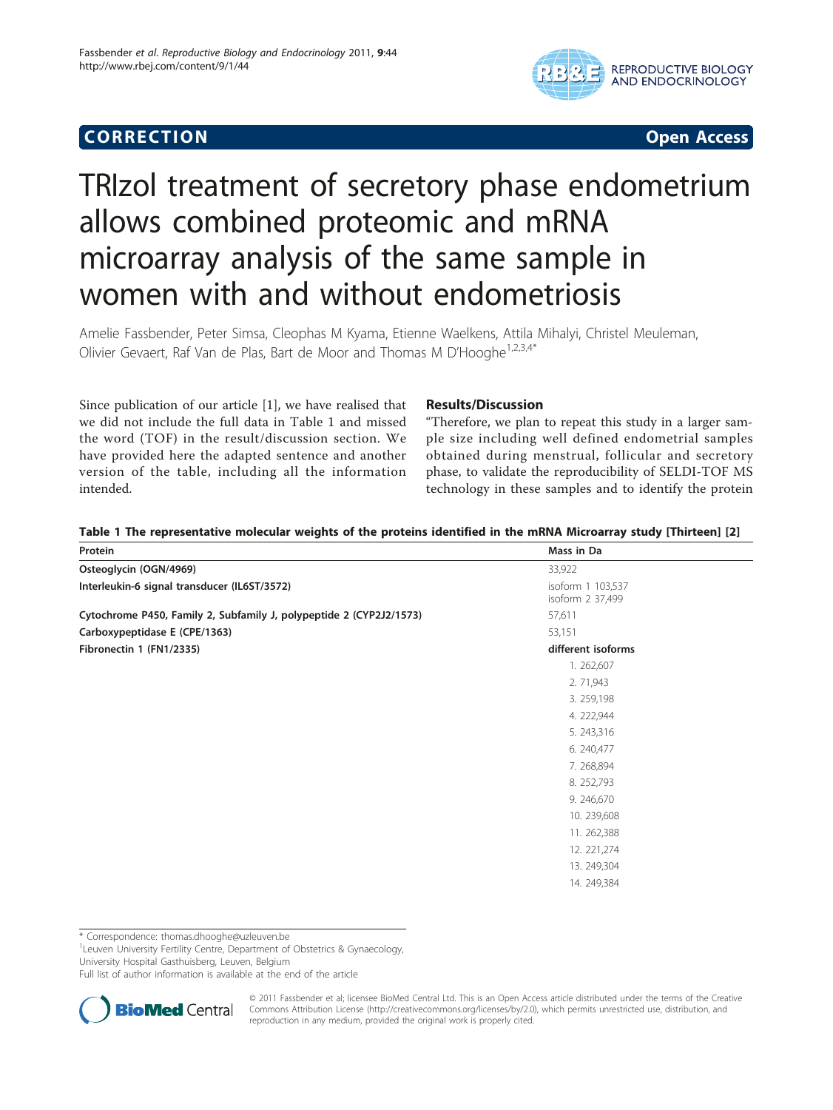# **CORRECTION CORRECTION**



# TRIzol treatment of secretory phase endometrium allows combined proteomic and mRNA microarray analysis of the same sample in women with and without endometriosis

Amelie Fassbender, Peter Simsa, Cleophas M Kyama, Etienne Waelkens, Attila Mihalyi, Christel Meuleman, Olivier Gevaert, Raf Van de Plas, Bart de Moor and Thomas M D'Hooghe<sup>1,2,3,4\*</sup>

Since publication of our article [[1\]](#page-1-0), we have realised that we did not include the full data in Table 1 and missed the word (TOF) in the result/discussion section. We have provided here the adapted sentence and another version of the table, including all the information intended.

## Results/Discussion

"Therefore, we plan to repeat this study in a larger sample size including well defined endometrial samples obtained during menstrual, follicular and secretory phase, to validate the reproducibility of SELDI-TOF MS technology in these samples and to identify the protein

| different isoforms |
|--------------------|
|                    |
|                    |
|                    |
|                    |
|                    |
|                    |
|                    |
|                    |
|                    |
|                    |
|                    |
|                    |
|                    |
|                    |
|                    |

Table 1 The representative molecular weights of the proteins identified in the mRNA Microarray study [Thirteen] [[2\]](#page-1-0)

\* Correspondence: [thomas.dhooghe@uzleuven.be](mailto:thomas.dhooghe@uzleuven.be)

<sup>1</sup> Leuven University Fertility Centre, Department of Obstetrics & Gynaecology, University Hospital Gasthuisberg, Leuven, Belgium

Full list of author information is available at the end of the article



© 2011 Fassbender et al; licensee BioMed Central Ltd. This is an Open Access article distributed under the terms of the Creative Commons Attribution License [\(http://creativecommons.org/licenses/by/2.0](http://creativecommons.org/licenses/by/2.0)), which permits unrestricted use, distribution, and reproduction in any medium, provided the original work is properly cited.